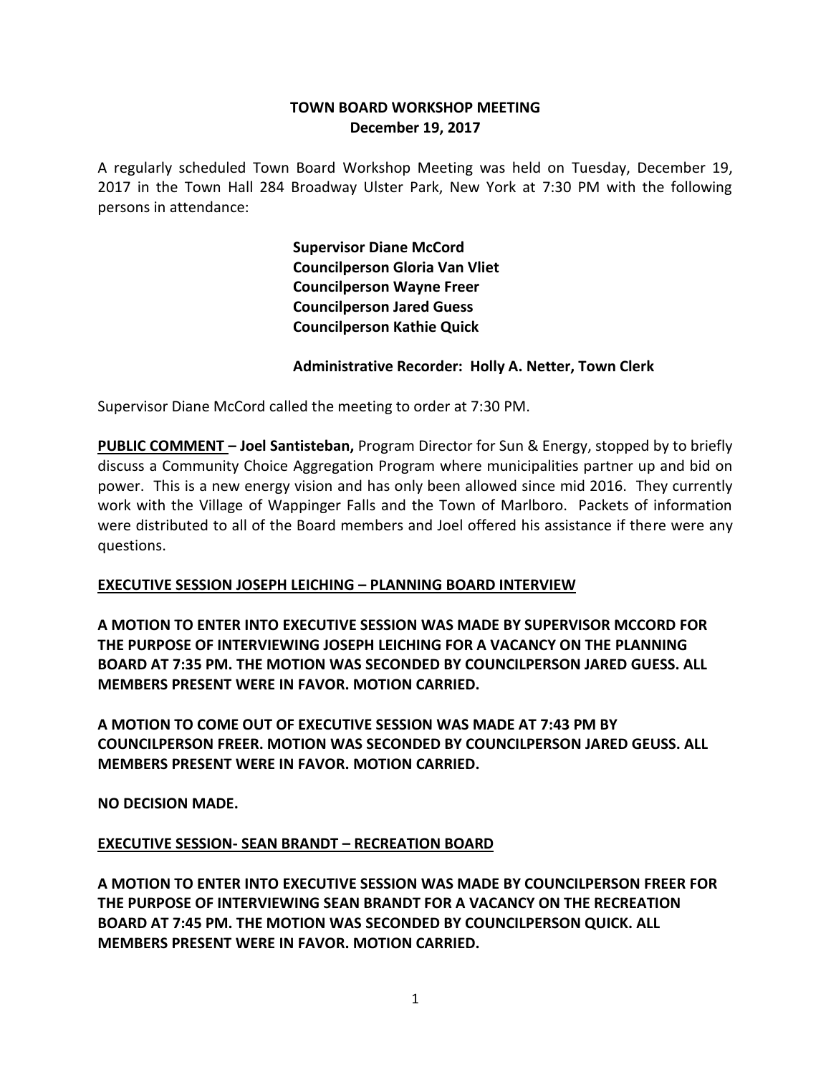### **TOWN BOARD WORKSHOP MEETING December 19, 2017**

A regularly scheduled Town Board Workshop Meeting was held on Tuesday, December 19, 2017 in the Town Hall 284 Broadway Ulster Park, New York at 7:30 PM with the following persons in attendance:

> **Supervisor Diane McCord Councilperson Gloria Van Vliet Councilperson Wayne Freer Councilperson Jared Guess Councilperson Kathie Quick**

#### **Administrative Recorder: Holly A. Netter, Town Clerk**

Supervisor Diane McCord called the meeting to order at 7:30 PM.

**PUBLIC COMMENT – Joel Santisteban,** Program Director for Sun & Energy, stopped by to briefly discuss a Community Choice Aggregation Program where municipalities partner up and bid on power. This is a new energy vision and has only been allowed since mid 2016. They currently work with the Village of Wappinger Falls and the Town of Marlboro. Packets of information were distributed to all of the Board members and Joel offered his assistance if there were any questions.

# **EXECUTIVE SESSION JOSEPH LEICHING – PLANNING BOARD INTERVIEW**

**A MOTION TO ENTER INTO EXECUTIVE SESSION WAS MADE BY SUPERVISOR MCCORD FOR THE PURPOSE OF INTERVIEWING JOSEPH LEICHING FOR A VACANCY ON THE PLANNING BOARD AT 7:35 PM. THE MOTION WAS SECONDED BY COUNCILPERSON JARED GUESS. ALL MEMBERS PRESENT WERE IN FAVOR. MOTION CARRIED.**

**A MOTION TO COME OUT OF EXECUTIVE SESSION WAS MADE AT 7:43 PM BY COUNCILPERSON FREER. MOTION WAS SECONDED BY COUNCILPERSON JARED GEUSS. ALL MEMBERS PRESENT WERE IN FAVOR. MOTION CARRIED.**

**NO DECISION MADE.**

# **EXECUTIVE SESSION- SEAN BRANDT – RECREATION BOARD**

**A MOTION TO ENTER INTO EXECUTIVE SESSION WAS MADE BY COUNCILPERSON FREER FOR THE PURPOSE OF INTERVIEWING SEAN BRANDT FOR A VACANCY ON THE RECREATION BOARD AT 7:45 PM. THE MOTION WAS SECONDED BY COUNCILPERSON QUICK. ALL MEMBERS PRESENT WERE IN FAVOR. MOTION CARRIED.**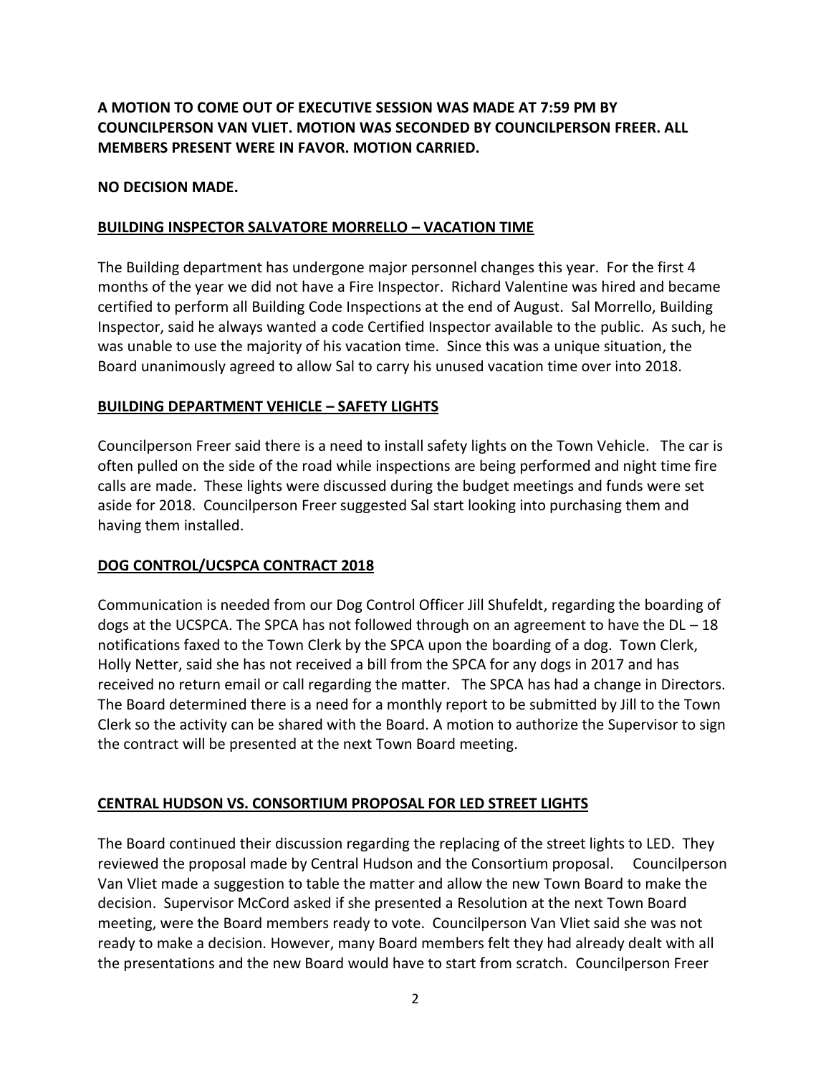# **A MOTION TO COME OUT OF EXECUTIVE SESSION WAS MADE AT 7:59 PM BY COUNCILPERSON VAN VLIET. MOTION WAS SECONDED BY COUNCILPERSON FREER. ALL MEMBERS PRESENT WERE IN FAVOR. MOTION CARRIED.**

#### **NO DECISION MADE.**

### **BUILDING INSPECTOR SALVATORE MORRELLO – VACATION TIME**

The Building department has undergone major personnel changes this year. For the first 4 months of the year we did not have a Fire Inspector. Richard Valentine was hired and became certified to perform all Building Code Inspections at the end of August. Sal Morrello, Building Inspector, said he always wanted a code Certified Inspector available to the public. As such, he was unable to use the majority of his vacation time. Since this was a unique situation, the Board unanimously agreed to allow Sal to carry his unused vacation time over into 2018.

### **BUILDING DEPARTMENT VEHICLE – SAFETY LIGHTS**

Councilperson Freer said there is a need to install safety lights on the Town Vehicle. The car is often pulled on the side of the road while inspections are being performed and night time fire calls are made. These lights were discussed during the budget meetings and funds were set aside for 2018. Councilperson Freer suggested Sal start looking into purchasing them and having them installed.

# **DOG CONTROL/UCSPCA CONTRACT 2018**

Communication is needed from our Dog Control Officer Jill Shufeldt, regarding the boarding of dogs at the UCSPCA. The SPCA has not followed through on an agreement to have the  $DL - 18$ notifications faxed to the Town Clerk by the SPCA upon the boarding of a dog. Town Clerk, Holly Netter, said she has not received a bill from the SPCA for any dogs in 2017 and has received no return email or call regarding the matter. The SPCA has had a change in Directors. The Board determined there is a need for a monthly report to be submitted by Jill to the Town Clerk so the activity can be shared with the Board. A motion to authorize the Supervisor to sign the contract will be presented at the next Town Board meeting.

#### **CENTRAL HUDSON VS. CONSORTIUM PROPOSAL FOR LED STREET LIGHTS**

The Board continued their discussion regarding the replacing of the street lights to LED. They reviewed the proposal made by Central Hudson and the Consortium proposal. Councilperson Van Vliet made a suggestion to table the matter and allow the new Town Board to make the decision. Supervisor McCord asked if she presented a Resolution at the next Town Board meeting, were the Board members ready to vote. Councilperson Van Vliet said she was not ready to make a decision. However, many Board members felt they had already dealt with all the presentations and the new Board would have to start from scratch. Councilperson Freer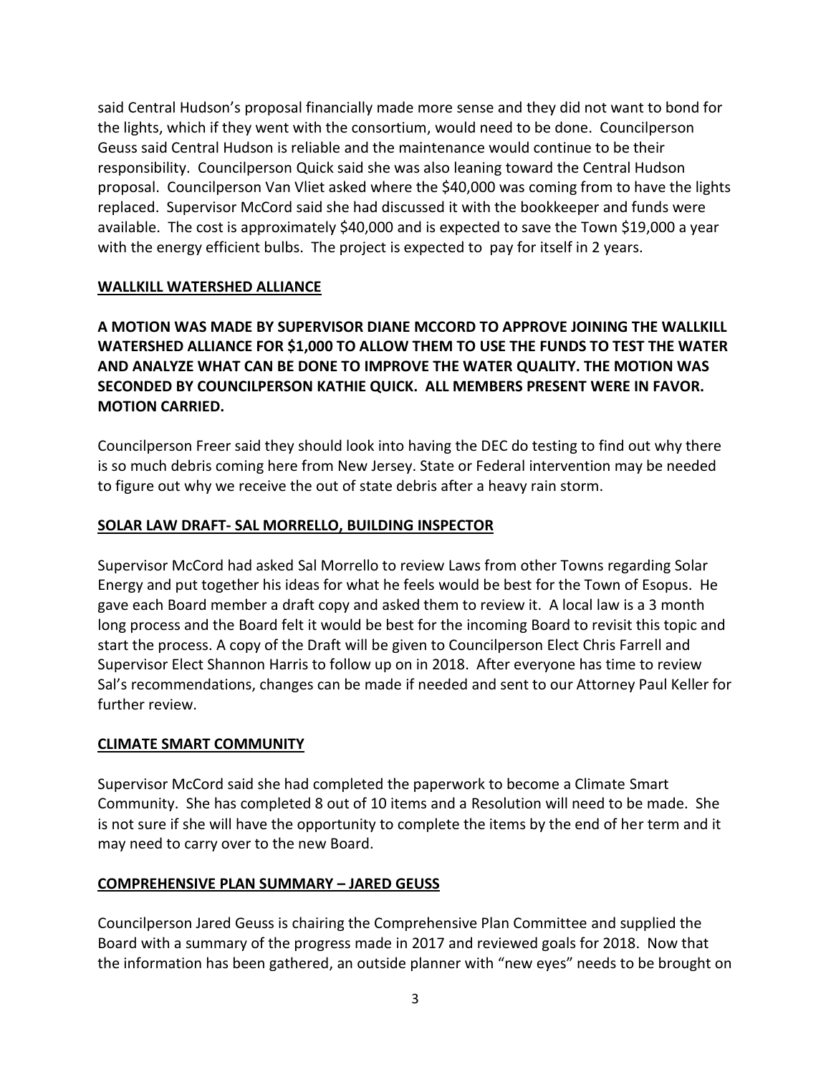said Central Hudson's proposal financially made more sense and they did not want to bond for the lights, which if they went with the consortium, would need to be done. Councilperson Geuss said Central Hudson is reliable and the maintenance would continue to be their responsibility. Councilperson Quick said she was also leaning toward the Central Hudson proposal. Councilperson Van Vliet asked where the \$40,000 was coming from to have the lights replaced. Supervisor McCord said she had discussed it with the bookkeeper and funds were available. The cost is approximately \$40,000 and is expected to save the Town \$19,000 a year with the energy efficient bulbs. The project is expected to pay for itself in 2 years.

### **WALLKILL WATERSHED ALLIANCE**

**A MOTION WAS MADE BY SUPERVISOR DIANE MCCORD TO APPROVE JOINING THE WALLKILL WATERSHED ALLIANCE FOR \$1,000 TO ALLOW THEM TO USE THE FUNDS TO TEST THE WATER AND ANALYZE WHAT CAN BE DONE TO IMPROVE THE WATER QUALITY. THE MOTION WAS SECONDED BY COUNCILPERSON KATHIE QUICK. ALL MEMBERS PRESENT WERE IN FAVOR. MOTION CARRIED.**

Councilperson Freer said they should look into having the DEC do testing to find out why there is so much debris coming here from New Jersey. State or Federal intervention may be needed to figure out why we receive the out of state debris after a heavy rain storm.

### **SOLAR LAW DRAFT- SAL MORRELLO, BUILDING INSPECTOR**

Supervisor McCord had asked Sal Morrello to review Laws from other Towns regarding Solar Energy and put together his ideas for what he feels would be best for the Town of Esopus. He gave each Board member a draft copy and asked them to review it. A local law is a 3 month long process and the Board felt it would be best for the incoming Board to revisit this topic and start the process. A copy of the Draft will be given to Councilperson Elect Chris Farrell and Supervisor Elect Shannon Harris to follow up on in 2018. After everyone has time to review Sal's recommendations, changes can be made if needed and sent to our Attorney Paul Keller for further review.

#### **CLIMATE SMART COMMUNITY**

Supervisor McCord said she had completed the paperwork to become a Climate Smart Community. She has completed 8 out of 10 items and a Resolution will need to be made. She is not sure if she will have the opportunity to complete the items by the end of her term and it may need to carry over to the new Board.

#### **COMPREHENSIVE PLAN SUMMARY – JARED GEUSS**

Councilperson Jared Geuss is chairing the Comprehensive Plan Committee and supplied the Board with a summary of the progress made in 2017 and reviewed goals for 2018. Now that the information has been gathered, an outside planner with "new eyes" needs to be brought on